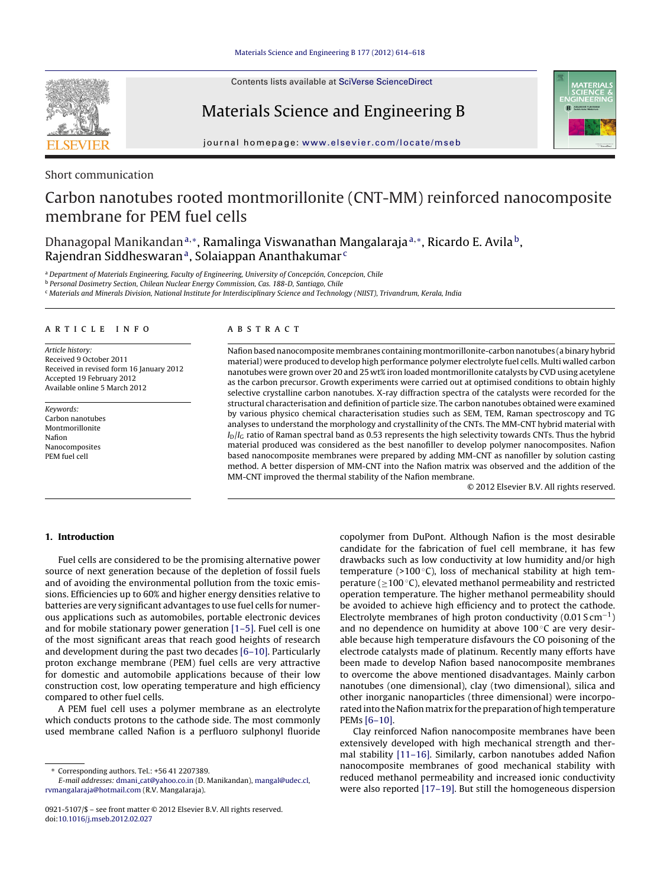Contents lists available at SciVerse [ScienceDirect](http://www.sciencedirect.com/science/journal/09215107)



Materials Science and Engineering B



jou rnal homepage: [www.elsevier.com/locate/mseb](http://www.elsevier.com/locate/mseb)

# Short communication

# Carbon nanotubes rooted montmorillonite (CNT-MM) reinforced nanocomposite membrane for PEM fuel cells

Dhanagopal Manikandan<sup>a,∗</sup>, Ramalinga Viswanathan Mangalaraja<sup>a,∗</sup>, Ricardo E. Avila<sup>b</sup>, Rajendran Siddheswaran<sup>a</sup>, Solaiappan Ananthakumar<sup>c</sup>

a Department of Materials Engineering, Faculty of Engineering, University of Concepción, Concepcion, Chile

<sup>b</sup> Personal Dosimetry Section, Chilean Nuclear Energy Commission, Cas. 188-D, Santiago, Chile

<sup>c</sup> Materials and Minerals Division, National Institute for Interdisciplinary Science and Technology (NIIST), Trivandrum, Kerala, India

#### ARTICLE INFO

Article history: Received 9 October 2011 Received in revised form 16 January 2012 Accepted 19 February 2012 Available online 5 March 2012

Keywords: Carbon nanotubes Montmorillonite Nafion Nanocomposites PEM fuel cell

# A B S T R A C T

Nafion based nanocomposite membranes containing montmorillonite-carbon nanotubes (a binary hybrid material) were produced to develop high performance polymer electrolyte fuel cells. Multi walled carbon nanotubes were grown over 20 and 25 wt% iron loaded montmorillonite catalysts by CVD using acetylene as the carbon precursor. Growth experiments were carried out at optimised conditions to obtain highly selective crystalline carbon nanotubes. X-ray diffraction spectra of the catalysts were recorded for the structural characterisation and definition of particle size. The carbon nanotubes obtained were examined by various physico chemical characterisation studies such as SEM, TEM, Raman spectroscopy and TG analyses to understand the morphology and crystallinity of the CNTs. The MM-CNT hybrid material with  $I_D/I_G$  ratio of Raman spectral band as 0.53 represents the high selectivity towards CNTs. Thus the hybrid material produced was considered as the best nanofiller to develop polymer nanocomposites. Nafion based nanocomposite membranes were prepared by adding MM-CNT as nanofiller by solution casting method. A better dispersion of MM-CNT into the Nafion matrix was observed and the addition of the MM-CNT improved the thermal stability of the Nafion membrane.

© 2012 Elsevier B.V. All rights reserved.

# **1. Introduction**

Fuel cells are considered to be the promising alternative power source of next generation because of the depletion of fossil fuels and of avoiding the environmental pollution from the toxic emissions. Efficiencies up to 60% and higher energy densities relative to batteries are very significant advantages to use fuel cells for numerous applications such as automobiles, portable electronic devices and for mobile stationary power generation [\[1–5\].](#page-4-0) Fuel cell is one of the most significant areas that reach good heights of research and development during the past two decades [\[6–10\].](#page-4-0) Particularly proton exchange membrane (PEM) fuel cells are very attractive for domestic and automobile applications because of their low construction cost, low operating temperature and high efficiency compared to other fuel cells.

A PEM fuel cell uses a polymer membrane as an electrolyte which conducts protons to the cathode side. The most commonly used membrane called Nafion is a perfluoro sulphonyl fluoride copolymer from DuPont. Although Nafion is the most desirable candidate for the fabrication of fuel cell membrane, it has few drawbacks such as low conductivity at low humidity and/or high temperature (>100 $\degree$ C), loss of mechanical stability at high temperature ( $\geq$ 100 °C), elevated methanol permeability and restricted operation temperature. The higher methanol permeability should be avoided to achieve high efficiency and to protect the cathode. Electrolyte membranes of high proton conductivity  $(0.01 S cm^{-1})$ and no dependence on humidity at above  $100^{\circ}$ C are very desirable because high temperature disfavours the CO poisoning of the electrode catalysts made of platinum. Recently many efforts have been made to develop Nafion based nanocomposite membranes to overcome the above mentioned disadvantages. Mainly carbon nanotubes (one dimensional), clay (two dimensional), silica and other inorganic nanoparticles (three dimensional) were incorporated into the Nafion matrix for the preparation of high temperature PEMs [\[6–10\].](#page-4-0)

Clay reinforced Nafion nanocomposite membranes have been extensively developed with high mechanical strength and thermal stability [\[11–16\].](#page-4-0) Similarly, carbon nanotubes added Nafion nanocomposite membranes of good mechanical stability with reduced methanol permeability and increased ionic conductivity were also reported [\[17–19\].](#page-4-0) But still the homogeneous dispersion

<sup>∗</sup> Corresponding authors. Tel.: +56 41 2207389.

E-mail addresses: dmani [cat@yahoo.co.in](mailto:dmani_cat@yahoo.co.in) (D. Manikandan), [mangal@udec.cl](mailto:mangal@udec.cl), [rvmangalaraja@hotmail.com](mailto:rvmangalaraja@hotmail.com) (R.V. Mangalaraja).

<sup>0921-5107/\$</sup> – see front matter © 2012 Elsevier B.V. All rights reserved. doi:[10.1016/j.mseb.2012.02.027](dx.doi.org/10.1016/j.mseb.2012.02.027)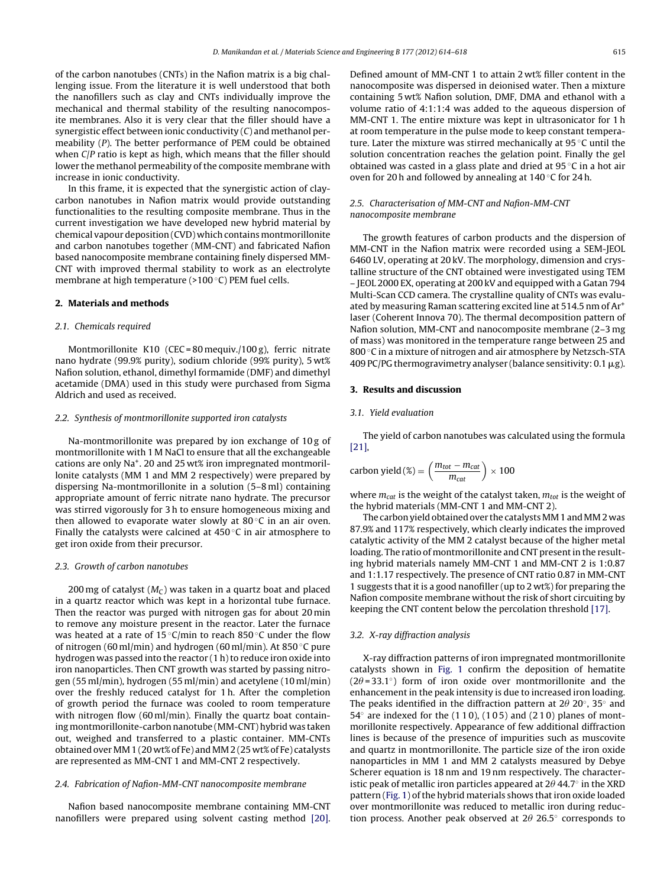of the carbon nanotubes (CNTs) in the Nafion matrix is a big challenging issue. From the literature it is well understood that both the nanofillers such as clay and CNTs individually improve the mechanical and thermal stability of the resulting nanocomposite membranes. Also it is very clear that the filler should have a synergistic effect between ionic conductivity (C) and methanol permeability (P). The better performance of PEM could be obtained when C/P ratio is kept as high, which means that the filler should lower the methanol permeability of the composite membrane with increase in ionic conductivity.

In this frame, it is expected that the synergistic action of claycarbon nanotubes in Nafion matrix would provide outstanding functionalities to the resulting composite membrane. Thus in the current investigation we have developed new hybrid material by chemical vapour deposition (CVD) which contains montmorillonite and carbon nanotubes together (MM-CNT) and fabricated Nafion based nanocomposite membrane containing finely dispersed MM-CNT with improved thermal stability to work as an electrolyte membrane at high temperature (>100 ◦C) PEM fuel cells.

## **2. Materials and methods**

#### 2.1. Chemicals required

Montmorillonite K10 (CEC = 80 mequiv./100 g), ferric nitrate nano hydrate (99.9% purity), sodium chloride (99% purity), 5 wt% Nafion solution, ethanol, dimethyl formamide (DMF) and dimethyl acetamide (DMA) used in this study were purchased from Sigma Aldrich and used as received.

#### 2.2. Synthesis of montmorillonite supported iron catalysts

Na-montmorillonite was prepared by ion exchange of 10 g of montmorillonite with 1 M NaCl to ensure that all the exchangeable cations are only Na+. 20 and 25 wt% iron impregnated montmorillonite catalysts (MM 1 and MM 2 respectively) were prepared by dispersing Na-montmorillonite in a solution (5–8 ml) containing appropriate amount of ferric nitrate nano hydrate. The precursor was stirred vigorously for 3 h to ensure homogeneous mixing and then allowed to evaporate water slowly at  $80^{\circ}$ C in an air oven. Finally the catalysts were calcined at  $450^{\circ}$ C in air atmosphere to get iron oxide from their precursor.

### 2.3. Growth of carbon nanotubes

200 mg of catalyst  $(M<sub>C</sub>)$  was taken in a quartz boat and placed in a quartz reactor which was kept in a horizontal tube furnace. Then the reactor was purged with nitrogen gas for about 20 min to remove any moisture present in the reactor. Later the furnace was heated at a rate of 15 $°C$ /min to reach 850 $°C$  under the flow of nitrogen (60 ml/min) and hydrogen (60 ml/min). At 850 ◦C pure hydrogen was passed into the reactor  $(1 h)$  to reduce iron oxide into iron nanoparticles. Then CNT growth was started by passing nitrogen (55 ml/min), hydrogen (55 ml/min) and acetylene (10 ml/min) over the freshly reduced catalyst for 1 h. After the completion of growth period the furnace was cooled to room temperature with nitrogen flow (60 ml/min). Finally the quartz boat containing montmorillonite-carbon nanotube (MM-CNT) hybrid was taken out, weighed and transferred to a plastic container. MM-CNTs obtainedoverMM1 (20 wt%of Fe) andMM2 (25 wt%of Fe) catalysts are represented as MM-CNT 1 and MM-CNT 2 respectively.

## 2.4. Fabrication of Nafion-MM-CNT nanocomposite membrane

Nafion based nanocomposite membrane containing MM-CNT nanofillers were prepared using solvent casting method [\[20\].](#page-4-0) Defined amount of MM-CNT 1 to attain 2 wt% filler content in the nanocomposite was dispersed in deionised water. Then a mixture containing 5 wt% Nafion solution, DMF, DMA and ethanol with a volume ratio of 4:1:1:4 was added to the aqueous dispersion of MM-CNT 1. The entire mixture was kept in ultrasonicator for 1 h at room temperature in the pulse mode to keep constant temperature. Later the mixture was stirred mechanically at 95 ◦C until the solution concentration reaches the gelation point. Finally the gel obtained was casted in a glass plate and dried at 95 ◦C in a hot air oven for 20 h and followed by annealing at 140 ◦C for 24 h.

# 2.5. Characterisation of MM-CNT and Nafion-MM-CNT nanocomposite membrane

The growth features of carbon products and the dispersion of MM-CNT in the Nafion matrix were recorded using a SEM-JEOL 6460 LV, operating at 20 kV. The morphology, dimension and crystalline structure of the CNT obtained were investigated using TEM – JEOL 2000 EX, operating at 200 kV and equipped with a Gatan 794 Multi-Scan CCD camera. The crystalline quality of CNTs was evaluated by measuring Raman scattering excited line at 514.5 nm of Ar+ laser (Coherent Innova 70). The thermal decomposition pattern of Nafion solution, MM-CNT and nanocomposite membrane (2–3 mg of mass) was monitored in the temperature range between 25 and 800 ◦C in a mixture of nitrogen and air atmosphere by Netzsch-STA 409 PC/PG thermogravimetry analyser (balance sensitivity: 0.1  $\mu$ g).

## **3. Results and discussion**

## 3.1. Yield evaluation

The yield of carbon nanotubes was calculated using the formula [\[21\],](#page-4-0)

carbon yield 
$$
(\%) = \left(\frac{m_{tot} - m_{cat}}{m_{cat}}\right) \times 100
$$

where  $m_{cat}$  is the weight of the catalyst taken,  $m_{tot}$  is the weight of the hybrid materials (MM-CNT 1 and MM-CNT 2).

The carbon yield obtained over the catalysts MM 1 and MM 2 was 87.9% and 117% respectively, which clearly indicates the improved catalytic activity of the MM 2 catalyst because of the higher metal loading. The ratio of montmorillonite and CNT present in the resulting hybrid materials namely MM-CNT 1 and MM-CNT 2 is 1:0.87 and 1:1.17 respectively. The presence of CNT ratio 0.87 in MM-CNT 1 suggests that it is a good nanofiller (up to 2 wt%) for preparing the Nafion composite membrane without the risk of short circuiting by keeping the CNT content below the percolation threshold [\[17\].](#page-4-0)

#### 3.2. X-ray diffraction analysis

X-ray diffraction patterns of iron impregnated montmorillonite catalysts shown in [Fig.](#page-2-0) 1 confirm the deposition of hematite  $(2\theta = 33.1°)$  form of iron oxide over montmorillonite and the enhancement in the peak intensity is due to increased iron loading. The peaks identified in the diffraction pattern at 2 $\theta$  20°, 35° and  $54^\circ$  are indexed for the (110), (105) and (210) planes of montmorillonite respectively. Appearance of few additional diffraction lines is because of the presence of impurities such as muscovite and quartz in montmorillonite. The particle size of the iron oxide nanoparticles in MM 1 and MM 2 catalysts measured by Debye Scherer equation is 18 nm and 19 nm respectively. The characteristic peak of metallic iron particles appeared at 2 $\theta$  44.7° in the XRD pattern [\(Fig.](#page-2-0) 1) of the hybrid materials shows that iron oxide loaded over montmorillonite was reduced to metallic iron during reduction process. Another peak observed at  $2\theta$  26.5 $^{\circ}$  corresponds to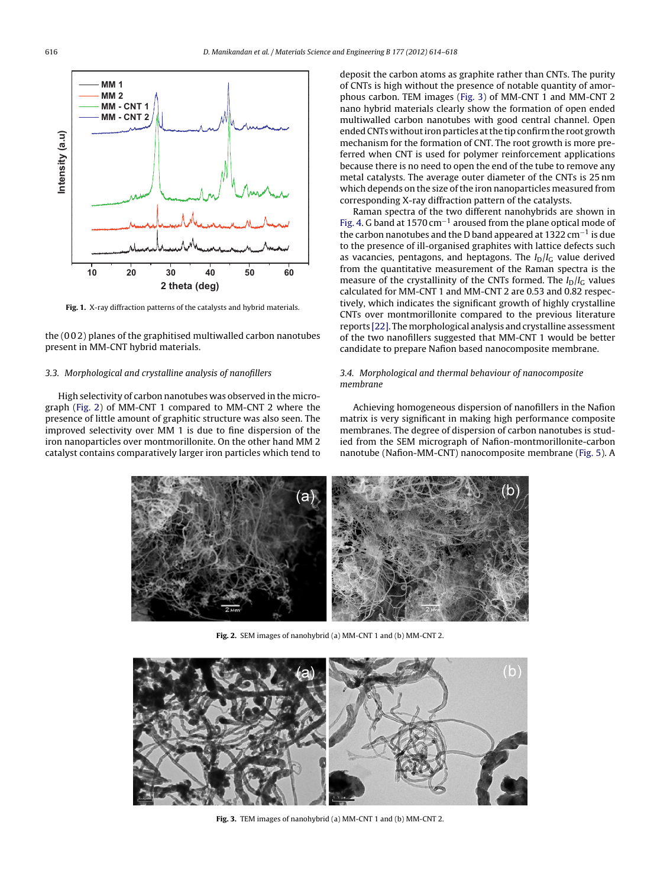<span id="page-2-0"></span>

**Fig. 1.** X-ray diffraction patterns of the catalysts and hybrid materials.

the (0 0 2) planes of the graphitised multiwalled carbon nanotubes present in MM-CNT hybrid materials.

## 3.3. Morphological and crystalline analysis of nanofillers

High selectivity of carbon nanotubes was observed in the micrograph (Fig. 2) of MM-CNT 1 compared to MM-CNT 2 where the presence of little amount of graphitic structure was also seen. The improved selectivity over MM 1 is due to fine dispersion of the iron nanoparticles over montmorillonite. On the other hand MM 2 catalyst contains comparatively larger iron particles which tend to deposit the carbon atoms as graphite rather than CNTs. The purity of CNTs is high without the presence of notable quantity of amorphous carbon. TEM images (Fig. 3) of MM-CNT 1 and MM-CNT 2 nano hybrid materials clearly show the formation of open ended multiwalled carbon nanotubes with good central channel. Open ended CNTs without iron particles at the tip confirm the root growth mechanism for the formation of CNT. The root growth is more preferred when CNT is used for polymer reinforcement applications because there is no need to open the end of the tube to remove any metal catalysts. The average outer diameter of the CNTs is 25 nm which depends on the size of the iron nanoparticles measured from corresponding X-ray diffraction pattern of the catalysts.

Raman spectra of the two different nanohybrids are shown in [Fig.](#page-3-0) 4. G band at 1570 cm−<sup>1</sup> aroused from the plane optical mode of the carbon nanotubes and the D band appeared at 1322 cm<sup>-1</sup> is due to the presence of ill-organised graphites with lattice defects such as vacancies, pentagons, and heptagons. The  $I_D/I_C$  value derived from the quantitative measurement of the Raman spectra is the measure of the crystallinity of the CNTs formed. The  $I_D/I_G$  values calculated for MM-CNT 1 and MM-CNT 2 are 0.53 and 0.82 respectively, which indicates the significant growth of highly crystalline CNTs over montmorillonite compared to the previous literature reports [\[22\].](#page-4-0) The morphological analysis and crystalline assessment of the two nanofillers suggested that MM-CNT 1 would be better candidate to prepare Nafion based nanocomposite membrane.

# 3.4. Morphological and thermal behaviour of nanocomposite membrane

Achieving homogeneous dispersion of nanofillers in the Nafion matrix is very significant in making high performance composite membranes. The degree of dispersion of carbon nanotubes is studied from the SEM micrograph of Nafion-montmorillonite-carbon nanotube (Nafion-MM-CNT) nanocomposite membrane ([Fig.](#page-3-0) 5). A



**Fig. 2.** SEM images of nanohybrid (a) MM-CNT 1 and (b) MM-CNT 2.



**Fig. 3.** TEM images of nanohybrid (a) MM-CNT 1 and (b) MM-CNT 2.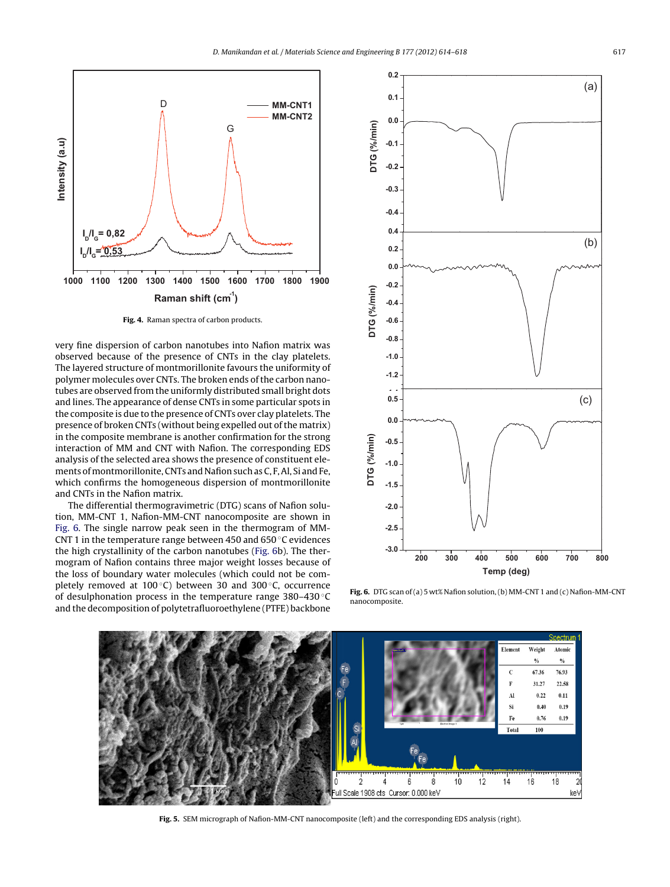<span id="page-3-0"></span>

**Fig. 4.** Raman spectra of carbon products.

very fine dispersion of carbon nanotubes into Nafion matrix was observed because of the presence of CNTs in the clay platelets. The layered structure of montmorillonite favours the uniformity of polymer molecules over CNTs. The broken ends of the carbon nanotubes are observed from the uniformly distributed small bright dots and lines. The appearance of dense CNTs in some particular spots in the composite is due to the presence of CNTs over clay platelets. The presence of broken CNTs (without being expelled out of the matrix) in the composite membrane is another confirmation for the strong interaction of MM and CNT with Nafion. The corresponding EDS analysis of the selected area shows the presence of constituent elements of montmorillonite, CNTs and Nafion such as C, F, Al, Si and Fe, which confirms the homogeneous dispersion of montmorillonite and CNTs in the Nafion matrix.

The differential thermogravimetric (DTG) scans of Nafion solution, MM-CNT 1, Nafion-MM-CNT nanocomposite are shown in Fig. 6. The single narrow peak seen in the thermogram of MM-CNT 1 in the temperature range between 450 and 650 ◦C evidences the high crystallinity of the carbon nanotubes (Fig. 6b). The thermogram of Nafion contains three major weight losses because of the loss of boundary water molecules (which could not be completely removed at 100 $°C$ ) between 30 and 300 $°C$ , occurrence of desulphonation process in the temperature range 380–430 ◦C and the decomposition of polytetrafluoroethylene (PTFE) backbone



**Fig. 6.** DTG scan of (a) 5 wt% Nafion solution, (b) MM-CNT 1 and (c) Nafion-MM-CNT nanocomposite.



**Fig. 5.** SEM micrograph of Nafion-MM-CNT nanocomposite (left) and the corresponding EDS analysis (right).